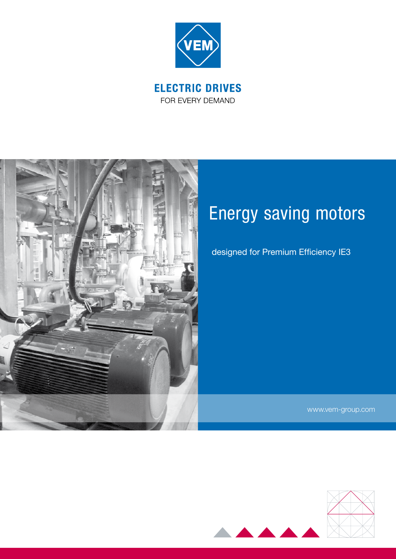

FOR EVERY DEMAND



# Energy saving motors

designed for Premium Efficiency IE3

www.vem-group.com

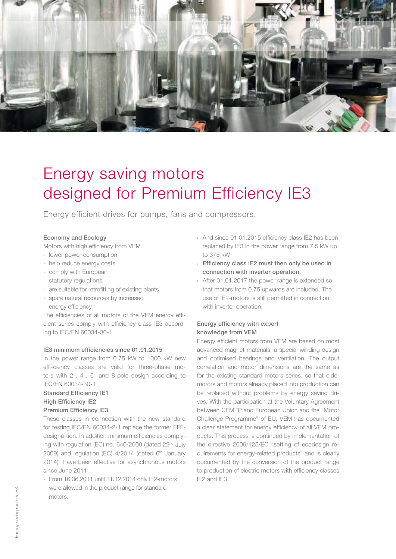

# Energy saving motors designed for Premium Efficiency IE3

Energy efficient drives for pumps, fans and compressors.

#### Economy and Ecology

Motors with high efficiency from VEM

- › lower power consumption
- › help reduce energy costs
- › comply with European
- statutory regulations
- › are suitable for retrofitting of existing plants
- › spare natural resources by increased energy efficiency.

The efficiencies of all motors of the VEM energy efficient series comply with efficiency class IE3 according to IEC/EN 60034-30-1.

#### IE3 minimum efficiencies since 01.01.2015

In the power range from 0.75 kW to 1000 kW new effi-ciency classes are valid for three-phase motors with 2-, 4-, 6- and 8-pole design according to IEC/EN 60034-30-1

# Standard Efficiency IE1 High Efficiency IE2

# Premium Efficiency IE3

These classes in connection with the new standard for testing IEC/EN 60034-2-1 replace the former EFFdesigna-tion. In addition minimum efficiencies complying with regulation (EC) no. 640/2009 (dated 22<sup>nd</sup> July 2009) and regulation (EC)  $4/2014$  (dated  $6<sup>th</sup>$  January 2014) have been effective for asynchronous motors since June 2011.

› From 16.06.2011 until 31.12.2014 only IE2-motors were allowed in the product range for standard motors.

- › And since 01.01.2015 efficiency class IE2 has been replaced by IE3 in the power range from 7.5 kW up to 375 kW
- › Efficiency class IE2 must then only be used in connection with inverter operation.
- › After 01.01.2017 the power range is extended so that motors from 0.75 upwards are included. The use of IE2-motors is still permitted in connection with inverter operation.

# Energy efficiency with expert knowledge from VEM

Energy efficient motors from VEM are based on most advanced magnet materials, a special winding design and optimised bearings and ventilation. The output correlation and motor dimensions are the same as for the existing standard motors series, so that older motors and motors already placed into production can be replaced without problems by energy saving drives. With the participation at the Voluntary Agreement between CEMEP and European Union and the "Motor Challenge Programme" of EU, VEM has documented a clear statement for energy efficiency of all VEM products. This process is continued by implementation of the directive 2009/125/EC "setting of ecodesign requirements for energy-related products" and is clearly documented by the conversion of the product range to production of electric motors with efficiency classes IE2 and IE3.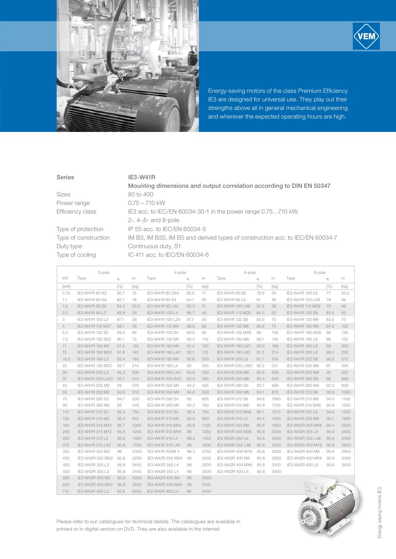

Energy-saving motors of the class Premium Efficiency IE3 are designed for universal use. They play out their strengths above all in general mechanical engineering and wherever the expected operating hours are high.

#### Series IE3-W41R

|                      | Mounting dimensions and output correlation according to DIN EN 50347          |  |  |  |  |  |  |  |
|----------------------|-------------------------------------------------------------------------------|--|--|--|--|--|--|--|
| Sizes                | 80 to 400                                                                     |  |  |  |  |  |  |  |
| Power range          | $0.75 - 710$ kW                                                               |  |  |  |  |  |  |  |
| Efficiency class     | IE3 acc. to IEC/EN 60034-30-1 in the power range 0.75710 kW,                  |  |  |  |  |  |  |  |
|                      | $2-$ , $4-$ , $6-$ and $8-pole$                                               |  |  |  |  |  |  |  |
| Type of protection   | IP 55 acc. to IEC/EN 60034-5                                                  |  |  |  |  |  |  |  |
| Type of construction | IM B3, IM B35, IM B5 and derived types of construction acc. to IEC/EN 60034-7 |  |  |  |  |  |  |  |
| Duty type            | Continuous duty, S1                                                           |  |  |  |  |  |  |  |
| Type of cooling      | IC 411 acc. to IEC/EN 60034-6                                                 |  |  |  |  |  |  |  |
|                      |                                                                               |  |  |  |  |  |  |  |

|      | 2-pole            |      |      | 4-pole           |      |      | 6-pole            |      |      | 8-pole           |      |      |
|------|-------------------|------|------|------------------|------|------|-------------------|------|------|------------------|------|------|
| kW   | Type              | η    | m    | Type             | η    | m    | Type              | η    | m    | Type             | η    | m    |
| [kW] |                   | [%]  | [kg] |                  | [%]  | [kg] |                   | [%]  | [kg] |                  | [%]  | [kg] |
| 0.75 | IE3-W41R 80 K2    | 80.7 | 15   | IE3-W41R 80 GX4  | 82.5 | 17   | IE3-W41R 90 S6    | 78.9 | 30   | IE3-W41R 100 L8  | 77   | 33.5 |
| 1.1  | IE3-W41R 80 G2    | 82.7 | 18   | IE3-W41R 90 S4   | 84.1 | 28   | IE3-W41R 90 L6    | 81   | 30   | IE3-W41R 100 LX8 | 79   | 36   |
| 1.5  | IE3-W41R 90 S2    | 84.2 | 23.5 | IE3-W41R 90 LX4  | 85.3 | 31   | IE3-W41R 100 LX6  | 82.5 | 36   | IE3-W41R 112 MZ8 | 78   | 46   |
| 2.2  | IE3-W41R 90 L2    | 85.9 | 29   | IE3-W41R 100 L4  | 86.7 | 45   | IE3-W41R 112 MZ6  | 84.3 | 50   | IE3-W41R 132 S8  | 80.5 | 65   |
| 3    | IE3-W41R 100 L2   | 87.1 | 38   | IE3-W41R 100 LZ4 | 87.7 | 50   | IE3-W41R 132 S6   | 85.6 | 70   | IE3-W41R 132 M8  | 83.5 | 70   |
| 4    | IE3-W41R 112 M2T  | 88.1 | 46   | IE3-W41R 112 M4  | 88.6 | 65   | IE3-W41R 132 M6   | 86.8 | 75   | IE3-W41R 160 M8  | 84.5 | 102  |
| 5.5  | IE3-W41R 132 S2   | 89.2 | 65   | IE3-W41R 132 S4  | 89.6 | 92   | IE3-W41R 132 MX6  | 88   | 105  | IE3-W41R 160 MX8 | 86   | 136  |
| 7.5  | IE3-W41R 132 SX2  | 90.1 | 75   | IE3-W41R 132 M4  | 90.4 | 110  | IE3-W41R 160 M6   | 89.1 | 145  | IE3-W41R 160 L8  | 88   | 155  |
| 11   | IE3-W41R 160 M2   | 91.4 | 125  | IE3-W41R 160 M4  | 91.4 | 120  | IE3-W41R 160 L6C  | 90.3 | 168  | IE3-W41R 180 L8  | 89   | 200  |
| 15   | IE3-W41R 160 MX2  | 91.9 | 145  | IE3-W41R 160 L4C | 92.1 | 175  | IE3-W41R 180 L6C  | 91.2 | 214  | IE3-W41R 200 L8  | 89.2 | 235  |
| 18.5 | IE3-W41R 160 L2   | 92.4 | 160  | IE3-W41R 180 M4  | 92.6 | 200  | IE3-W41R 200 L6   | 91.7 | 310  | IE3-W41R 225 S8  | 90.5 | 310  |
| 22   | IE3-W41R 180 M2C  | 92.7 | 214  | IE3-W41R 180 L4  | 93   | 255  | IE3-W41R 200 LX6C | 92.2 | 321  | IE3-W41R 225 M8  | 91   | 395  |
| 30   | IE3-W41R 200 L2   | 93.3 | 305  | IE3-W41R 200 L4C | 93.6 | 320  | IE3-W41R 225 M6   | 92.9 | 400  | IE3-W41R 250 M8  | 92   | 520  |
| 37   | IE3-W41R 200 LX2C | 93.7 | 310  | IE3-W41R 225 S4C | 93.9 | 365  | IE3-W41R 250 M6   | 93.3 | 545  | IE3-W41R 280 S8  | 92   | 690  |
| 45   | IE3-W41R 225 M2   | 94   | 375  | IE3-W41R 225 M4  | 94.2 | 425  | IE3-W41R 280 S6   | 93.7 | 695  | IE3-W41R 280 M8  | 92.3 | 800  |
| 55   | IE3-W41R 250 M2   | 94.6 | 510  | IE3-W41R 250 M4  | 94.6 | 550  | IE3-W41R 280 M6   | 94.1 | 815  | IE3-W41R 315 S8  | 93.8 | 1060 |
| 75   | IE3-W41R 280 S2   | 94.7 | 500  | IE3-W41R 280 S4  | 95   | 605  | IE3-W41R 315 S6   | 94.6 | 1060 | IE3-W41R 315 M8  | 94.3 | 1100 |
| 90   | IE3-W41R 280 M2   | 95   | 545  | IE3-W41R 280 M4  | 95.2 | 760  | IE3-W41R 315 M6   | 94.9 | 1100 | IE3-W41R 315 MX8 | 94.6 | 1250 |
| 110  | IE3-W41R 315 S2   | 95.2 | 750  | IE3-W41R 315 S4  | 95.4 | 760  | IE3-W41R 315 MX6  | 95.1 | 1210 | IE3-W41R 315 L8  | 94.9 | 1550 |
| 132  | IE3-W41R 315 M2   | 95.4 | 815  | IE3-W41R 315 M4  | 95.6 | 850  | IE3-W41R 315 L6   | 95.4 | 1550 | IE3-W41R 355 M8  | 95.1 | 1850 |
| 160  | IE3-W41R 315 MX2  | 95.7 | 1095 | IE3-W41R 315 MX4 | 95.8 | 1120 | IE3-W41R 355 M6   | 95.6 | 1850 | IE3-W42R 355 MX8 | 95.4 | 2200 |
| 200  | IE3-W41R 315 MY2  | 95.8 | 1200 | IE3-W41R 315 MY4 | 96   | 1250 | IE3-W41R 355 MX6  | 95.8 | 2200 | IE3-W42R 355 L8  | 95.6 | 2400 |
| 250  | IE3-W41R 315 L2   | 95.8 | 1460 | IE3-W41R 315 L4  | 96.2 | 1450 | IE3-W42R 355 L6   | 95.8 | 2400 | IE3-W42R 355 LX8 | 95.6 | 2400 |
| 315  | IE3-W41R 315 LX2  | 95.8 | 1700 | IE3-W41R 315 LX4 | 96   | 1630 | IE3-W42R 355 LX6  | 95.8 | 2400 | IE3-W42R 400 MY8 | 95.6 | 2800 |
| 355  | IE3-W41R 355 M2   | 96   | 2000 | IE3-W41R 355M 4  | 96.2 | 2150 | IE3-W42R 400 MY6  | 95.8 | 2900 | IE3-W42R 400 M8  | 95.6 | 2900 |
| 400  | IE3-W42R 355 MX2  | 95.8 | 2200 | IE3-W42R 355 MX4 | 96   | 2400 | IE3-W42R 400 M6   | 95.8 | 2900 | IE3-W42R 400 MX8 | 95.6 | 3100 |
| 450  | IE3-W42R 355 L2   | 95.8 | 2445 | IE3-W42R 355 L4  | 96   | 2500 | IE3-W42R 400 MX6  | 95.8 | 3100 | IE3-W42R 400 L8  | 95.6 | 3400 |
| 500  | IE3-W42R 355 L2   | 95.8 | 2445 | IE3-W42R 355 L4  | 96   | 2500 | IE3-W42R 400 L6   | 95.8 | 3400 |                  |      |      |
| 560  | IE3-W42R 400 M2   | 95.8 | 3000 | IE3-W42R 400 M4  | 96   | 2900 |                   |      |      |                  |      |      |
| 630  | IE3-W42R 400 MX2  | 95.8 | 3200 | IE3-W42R 400 MX4 | 96   | 3100 |                   |      |      |                  |      |      |
| 710  | IE3-W42R 400 L2   | 95.8 | 3450 | IE3-W42R 400 L4  | 96   | 3400 |                   |      |      |                  |      |      |



Please refer to our catalogues for technical details. The catalogues are available in printed or in digital version on DVD. They are also available in the internet.